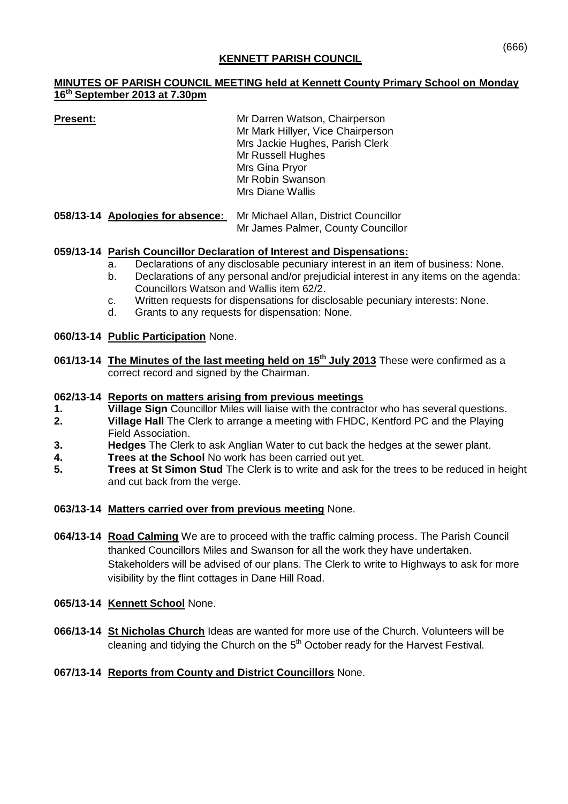## **KENNETT PARISH COUNCIL**

## **MINUTES OF PARISH COUNCIL MEETING held at Kennett County Primary School on Monday 16 th September 2013 at 7.30pm**

| <b>Present:</b>                                                                                             | Mr Darren Watson, Chairperson<br>Mr Mark Hillyer, Vice Chairperson<br>Mrs Jackie Hughes, Parish Clerk<br>Mr Russell Hughes<br>Mrs Gina Pryor<br>Mr Robin Swanson<br><b>Mrs Diane Wallis</b> |
|-------------------------------------------------------------------------------------------------------------|---------------------------------------------------------------------------------------------------------------------------------------------------------------------------------------------|
| $\triangle$ FOHO 44 Accelerates from the company of MacMinistration $\triangle$ to the $\triangle$ constant |                                                                                                                                                                                             |

**058/13-14 Apologies for absence:** Mr Michael Allan, District Councillor Mr James Palmer, County Councillor

## **059/13-14 Parish Councillor Declaration of Interest and Dispensations:**

- a. Declarations of any disclosable pecuniary interest in an item of business: None.
- b. Declarations of any personal and/or prejudicial interest in any items on the agenda: Councillors Watson and Wallis item 62/2.
- c. Written requests for dispensations for disclosable pecuniary interests: None.
- d. Grants to any requests for dispensation: None.

### **060/13-14 Public Participation** None.

**061/13-14 The Minutes of the last meeting held on 15th July 2013** These were confirmed as a correct record and signed by the Chairman.

### **062/13-14 Reports on matters arising from previous meetings**

- **1. Village Sign** Councillor Miles will liaise with the contractor who has several questions.
- **2. Village Hall** The Clerk to arrange a meeting with FHDC, Kentford PC and the Playing Field Association.
- **3. Hedges** The Clerk to ask Anglian Water to cut back the hedges at the sewer plant.
- **4. Trees at the School** No work has been carried out yet.
- **5. Trees at St Simon Stud** The Clerk is to write and ask for the trees to be reduced in height and cut back from the verge.

### **063/13-14 Matters carried over from previous meeting** None.

**064/13-14 Road Calming** We are to proceed with the traffic calming process. The Parish Council thanked Councillors Miles and Swanson for all the work they have undertaken. Stakeholders will be advised of our plans. The Clerk to write to Highways to ask for more visibility by the flint cottages in Dane Hill Road.

### **065/13-14 Kennett School** None.

**066/13-14 St Nicholas Church** Ideas are wanted for more use of the Church. Volunteers will be cleaning and tidying the Church on the  $5<sup>th</sup>$  October ready for the Harvest Festival.

## **067/13-14 Reports from County and District Councillors** None.